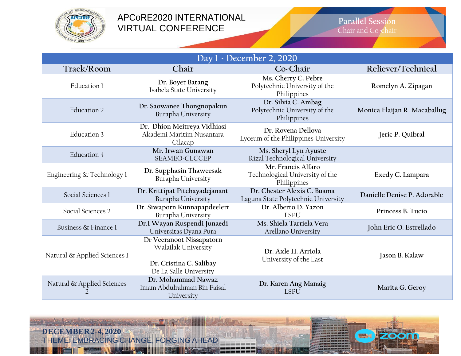

## APCoRE2020 INTERNATIONAL VIRTUAL CONFERENCE

#### **Parallel Session** Chair and Co-chair

| Day 1 - December 2, 2020     |                                                                                                      |                                                                      |                              |  |  |  |
|------------------------------|------------------------------------------------------------------------------------------------------|----------------------------------------------------------------------|------------------------------|--|--|--|
| Track/Room                   | Chair                                                                                                | Co-Chair                                                             | Reliever/Technical           |  |  |  |
| Education 1                  | Dr. Boyet Batang<br>Isabela State University                                                         | Ms. Cherry C. Pebre<br>Polytechnic University of the<br>Philippines  | Romelyn A. Zipagan           |  |  |  |
| Education 2                  | Dr. Saowanee Thongnopakun<br>Burapha University                                                      | Dr. Silvia C. Ambag<br>Polytechnic University of the<br>Philippines  | Monica Elaijan R. Macaballug |  |  |  |
| Education 3                  | Dr. Dhion Meitreya Vidhiasi<br>Akademi Maritim Nusantara<br>Cilacap                                  | Dr. Rovena Dellova<br>Lyceum of the Philippines University           | Jeric P. Quibral             |  |  |  |
| Education 4                  | Mr. Irwan Gunawan<br>SEAMEO-CECCEP                                                                   | Ms. Sheryl Lyn Ayuste<br>Rizal Technological University              |                              |  |  |  |
| Engineering & Technology 1   | Dr. Supphasin Thaweesak<br>Burapha University                                                        | Mr. Francis Alfaro<br>Technological University of the<br>Philippines | Exedy C. Lampara             |  |  |  |
| Social Sciences 1            | Dr. Krittipat Pitchayadejanant<br>Burapha University                                                 | Dr. Chester Alexis C. Buama<br>Laguna State Polytechnic University   | Danielle Denise P. Adorable  |  |  |  |
| Social Sciences 2            | Dr. Siwaporn Kunnapapdeelert<br>Burapha University                                                   | Dr. Alberto D. Yazon<br><b>LSPU</b>                                  | Princess B. Tucio            |  |  |  |
| Business & Finance 1         | Dr.I Wayan Ruspendi Junaedi<br>Universitas Dyana Pura                                                | Ms. Shiela Tarriela Vera<br>Arellano University                      | John Eric O. Estrellado      |  |  |  |
| Natural & Applied Sciences 1 | Dr Veeranoot Nissapatorn<br>Walailak University<br>Dr. Cristina C. Salibay<br>De La Salle University | Dr. Axle H. Arriola<br>University of the East                        | Jason B. Kalaw               |  |  |  |
| Natural & Applied Sciences   | Dr. Mohammad Nawaz<br>Imam Abdulrahman Bin Faisal<br>University                                      | Dr. Karen Ang Manaig<br><b>LSPU</b>                                  | Marita G. Geroy              |  |  |  |

**Summa** 

**MINUSBRA** 

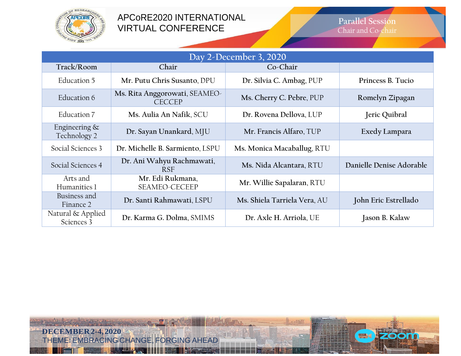

## APCoRE2020 INTERNATIONAL VIRTUAL CONFERENCE

### **Parallel Session** Chair and Co-chair

**EMA** 

| Day 2-December 3, 2020           |                                                |                              |                          |  |  |
|----------------------------------|------------------------------------------------|------------------------------|--------------------------|--|--|
| Track/Room                       | Chair                                          | Co-Chair                     |                          |  |  |
| Education 5                      | Mr. Putu Chris Susanto, DPU                    | Dr. Silvia C. Ambag, PUP     | Princess B. Tucio        |  |  |
| Education 6                      | Ms. Rita Anggorowati, SEAMEO-<br><b>CECCEP</b> | Ms. Cherry C. Pebre, PUP     | Romelyn Zipagan          |  |  |
| Education 7                      | Ms. Aulia An Nafik, SCU                        | Dr. Rovena Dellova, LUP      | Jeric Quibral            |  |  |
| Engineering $\&$<br>Technology 2 | Dr. Sayan Unankard, MJU                        | Mr. Francis Alfaro, TUP      | Exedy Lampara            |  |  |
| Social Sciences 3                | Dr. Michelle B. Sarmiento, LSPU                | Ms. Monica Macaballug, RTU   |                          |  |  |
| Social Sciences 4                | Dr. Ani Wahyu Rachmawati,<br><b>RSF</b>        | Ms. Nida Alcantara, RTU      | Danielle Denise Adorable |  |  |
| Arts and<br>Humanities 1         | Mr. Edi Rukmana,<br><b>SEAMEO-CECEEP</b>       | Mr. Willie Sapalaran, RTU    |                          |  |  |
| Business and<br>Finance 2        | Dr. Santi Rahmawati, LSPU                      | Ms. Shiela Tarriela Vera, AU | John Eric Estrellado     |  |  |
| Natural & Applied<br>Sciences 3  | Dr. Karma G. Dolma, SMIMS                      | Dr. Axle H. Arriola, UE      | Jason B. Kalaw           |  |  |

**Summa** 

**DECEMBER2-4,2020** THEME: EMBRACING CHANGE, FORGING AHEAD

**MINUSBRA**